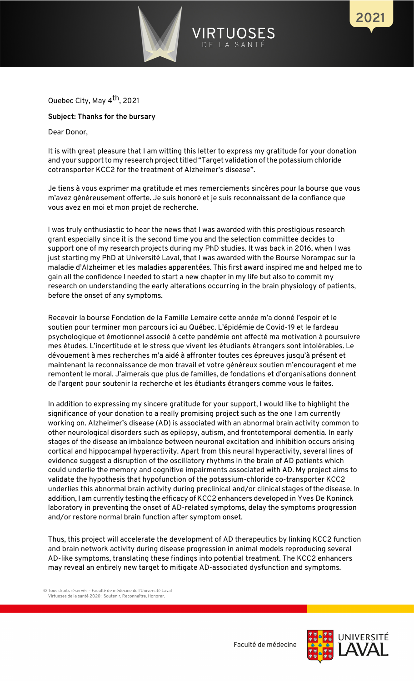

Quebec City, May 4th, 2021

## **Subject: Thanks for the bursary**

Dear Donor,

It is with great pleasure that I am witting this letter to express my gratitude for your donation and your support to my research project titled "Target validation of the potassium chloride cotransporter KCC2 for the treatment of Alzheimer's disease".

Je tiens à vous exprimer ma gratitude et mes remerciements sincères pour la bourse que vous m'avez généreusement offerte. Je suis honoré et je suis reconnaissant de la confiance que vous avez en moi et mon projet de recherche.

I was truly enthusiastic to hear the news that I was awarded with this prestigious research grant especially since it is the second time you and the selection committee decides to support one of my research projects during my PhD studies. It was back in 2016, when I was just starting my PhD at Université Laval, that I was awarded with the Bourse Norampac sur la maladie d'Alzheimer et les maladies apparentées. This first award inspired me and helped me to gain all the confidence I needed to start a new chapter in my life but also to commit my research on understanding the early alterations occurring in the brain physiology of patients, before the onset of any symptoms.

Recevoir la bourse Fondation de la Famille Lemaire cette année m'a donné l'espoir et le soutien pour terminer mon parcours ici au Québec. L'épidémie de Covid-19 et le fardeau psychologique et émotionnel associé à cette pandémie ont affecté ma motivation à poursuivre mes études. L'incertitude et le stress que vivent les étudiants étrangers sont intolérables. Le dévouement à mes recherches m'a aidé à affronter toutes ces épreuves jusqu'à présent et maintenant la reconnaissance de mon travail et votre généreux soutien m'encouragent et me remontent le moral. J'aimerais que plus de familles, de fondations et d'organisations donnent de l'argent pour soutenir la recherche et les étudiants étrangers comme vous le faites.

In addition to expressing my sincere gratitude for your support, I would like to highlight the significance of your donation to a really promising project such as the one I am currently working on. Alzheimer's disease (AD) is associated with an abnormal brain activity common to other neurological disorders such as epilepsy, autism, and frontotemporal dementia. In early stages of the disease an imbalance between neuronal excitation and inhibition occurs arising cortical and hippocampal hyperactivity. Apart from this neural hyperactivity, several lines of evidence suggest a disruption of the oscillatory rhythms in the brain of AD patients which could underlie the memory and cognitive impairments associated with AD. My project aims to validate the hypothesis that hypofunction of the potassium-chloride co-transporter KCC2 underlies this abnormal brain activity during preclinical and/or clinical stages of the disease. In addition, I am currently testing the efficacy of KCC2 enhancers developed in Yves De Koninck laboratory in preventing the onset of AD-related symptoms, delay the symptoms progression and/or restore normal brain function after symptom onset.

Thus, this project will accelerate the development of AD therapeutics by linking KCC2 function and brain network activity during disease progression in animal models reproducing several AD-like symptoms, translating these findings into potential treatment. The KCC2 enhancers may reveal an entirely new target to mitigate AD-associated dysfunction and symptoms.

© Tous droits réservés – Faculté de médecine de l'Université Laval Virtuoses de la santé 2020 : Soutenir. Reconnaître. Honorer.



2021